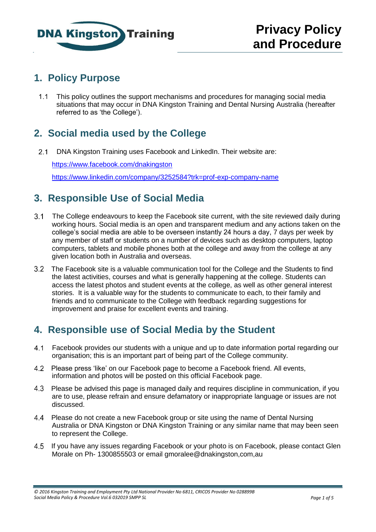

## **1. Policy Purpose**

1.1 This policy outlines the support mechanisms and procedures for managing social media situations that may occur in DNA Kingston Training and Dental Nursing Australia (hereafter referred to as 'the College').

# **2. Social media used by the College**

2.1 DNA Kingston Training uses Facebook and LinkedIn. Their website are:

<https://www.facebook.com/dnakingston> <https://www.linkedin.com/company/3252584?trk=prof-exp-company-name>

### **3. Responsible Use of Social Media**

- 3.1 The College endeavours to keep the Facebook site current, with the site reviewed daily during working hours. Social media is an open and transparent medium and any actions taken on the college's social media are able to be overseen instantly 24 hours a day, 7 days per week by any member of staff or students on a number of devices such as desktop computers, laptop computers, tablets and mobile phones both at the college and away from the college at any given location both in Australia and overseas.
- The Facebook site is a valuable communication tool for the College and the Students to find the latest activities, courses and what is generally happening at the college. Students can access the latest photos and student events at the college, as well as other general interest stories. It is a valuable way for the students to communicate to each, to their family and friends and to communicate to the College with feedback regarding suggestions for improvement and praise for excellent events and training.

# **4. Responsible use of Social Media by the Student**

- Facebook provides our students with a unique and up to date information portal regarding our organisation; this is an important part of being part of the College community.
- Please press 'like' on our Facebook page to become a Facebook friend. All events, information and photos will be posted on this official Facebook page.
- Please be advised this page is managed daily and requires discipline in communication, if you are to use, please refrain and ensure defamatory or inappropriate language or issues are not discussed.
- Please do not create a new Facebook group or site using the name of Dental Nursing Australia or DNA Kingston or DNA Kingston Training or any similar name that may been seen to represent the College.
- If you have any issues regarding Facebook or your photo is on Facebook, please contact Glen Morale on Ph- 1300855503 or email gmoralee@dnakingston,com,au

*<sup>© 2016</sup> Kingston Training and Employment Pty Ltd National Provider No 6811, CRICOS Provider No 028899B Social Media Policy & Procedure Vol.6 032019 SMPP SL Page 1 of 5*